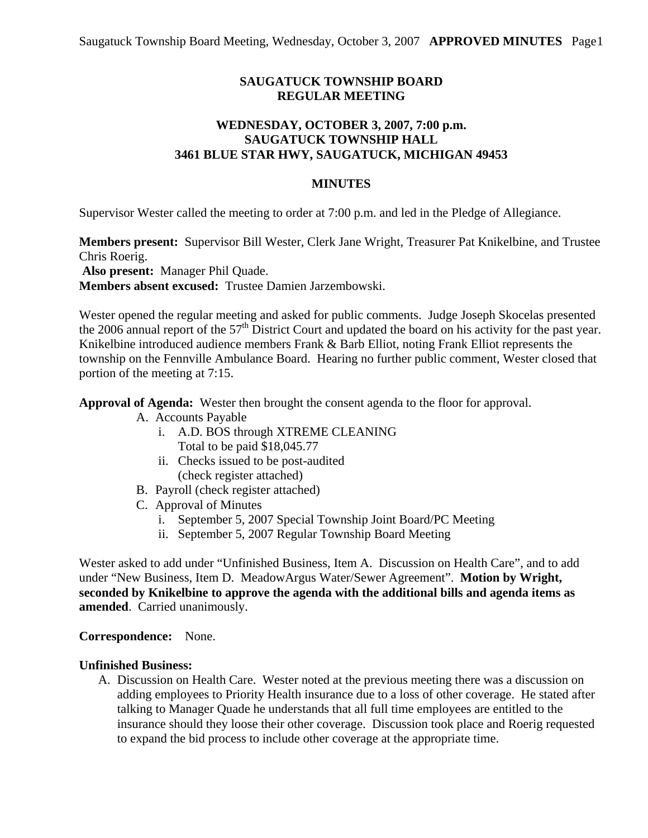# **SAUGATUCK TOWNSHIP BOARD REGULAR MEETING**

# **WEDNESDAY, OCTOBER 3, 2007, 7:00 p.m. SAUGATUCK TOWNSHIP HALL 3461 BLUE STAR HWY, SAUGATUCK, MICHIGAN 49453**

### **MINUTES**

Supervisor Wester called the meeting to order at 7:00 p.m. and led in the Pledge of Allegiance.

**Members present:** Supervisor Bill Wester, Clerk Jane Wright, Treasurer Pat Knikelbine, and Trustee Chris Roerig.

**Also present:** Manager Phil Quade.

**Members absent excused:** Trustee Damien Jarzembowski.

Wester opened the regular meeting and asked for public comments. Judge Joseph Skocelas presented the 2006 annual report of the 57<sup>th</sup> District Court and updated the board on his activity for the past year. Knikelbine introduced audience members Frank & Barb Elliot, noting Frank Elliot represents the township on the Fennville Ambulance Board. Hearing no further public comment, Wester closed that portion of the meeting at 7:15.

**Approval of Agenda:** Wester then brought the consent agenda to the floor for approval.

- A. Accounts Payable
	- i. A.D. BOS through XTREME CLEANING Total to be paid \$18,045.77
	- ii. Checks issued to be post-audited (check register attached)
- B. Payroll (check register attached)
- C. Approval of Minutes
	- i. September 5, 2007 Special Township Joint Board/PC Meeting
	- ii. September 5, 2007 Regular Township Board Meeting

Wester asked to add under "Unfinished Business, Item A. Discussion on Health Care", and to add under "New Business, Item D. MeadowArgus Water/Sewer Agreement". **Motion by Wright, seconded by Knikelbine to approve the agenda with the additional bills and agenda items as amended**. Carried unanimously.

#### **Correspondence:** None.

#### **Unfinished Business:**

A. Discussion on Health Care. Wester noted at the previous meeting there was a discussion on adding employees to Priority Health insurance due to a loss of other coverage. He stated after talking to Manager Quade he understands that all full time employees are entitled to the insurance should they loose their other coverage. Discussion took place and Roerig requested to expand the bid process to include other coverage at the appropriate time.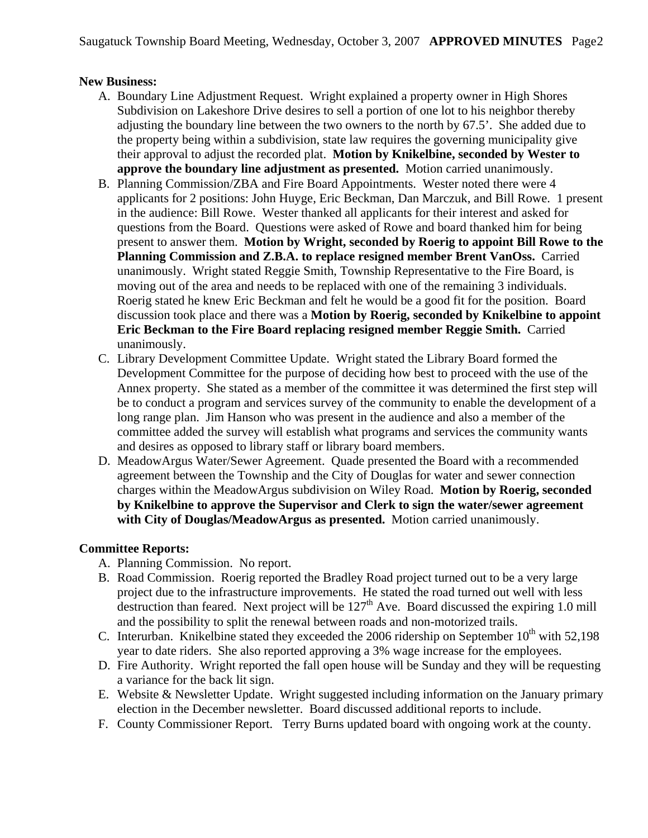## **New Business:**

- A. Boundary Line Adjustment Request. Wright explained a property owner in High Shores Subdivision on Lakeshore Drive desires to sell a portion of one lot to his neighbor thereby adjusting the boundary line between the two owners to the north by 67.5'. She added due to the property being within a subdivision, state law requires the governing municipality give their approval to adjust the recorded plat. **Motion by Knikelbine, seconded by Wester to approve the boundary line adjustment as presented.** Motion carried unanimously.
- B. Planning Commission/ZBA and Fire Board Appointments. Wester noted there were 4 applicants for 2 positions: John Huyge, Eric Beckman, Dan Marczuk, and Bill Rowe. 1 present in the audience: Bill Rowe. Wester thanked all applicants for their interest and asked for questions from the Board. Questions were asked of Rowe and board thanked him for being present to answer them. **Motion by Wright, seconded by Roerig to appoint Bill Rowe to the Planning Commission and Z.B.A. to replace resigned member Brent VanOss.** Carried unanimously. Wright stated Reggie Smith, Township Representative to the Fire Board, is moving out of the area and needs to be replaced with one of the remaining 3 individuals. Roerig stated he knew Eric Beckman and felt he would be a good fit for the position. Board discussion took place and there was a **Motion by Roerig, seconded by Knikelbine to appoint Eric Beckman to the Fire Board replacing resigned member Reggie Smith.** Carried unanimously.
- C. Library Development Committee Update. Wright stated the Library Board formed the Development Committee for the purpose of deciding how best to proceed with the use of the Annex property. She stated as a member of the committee it was determined the first step will be to conduct a program and services survey of the community to enable the development of a long range plan. Jim Hanson who was present in the audience and also a member of the committee added the survey will establish what programs and services the community wants and desires as opposed to library staff or library board members.
- D. MeadowArgus Water/Sewer Agreement. Quade presented the Board with a recommended agreement between the Township and the City of Douglas for water and sewer connection charges within the MeadowArgus subdivision on Wiley Road. **Motion by Roerig, seconded by Knikelbine to approve the Supervisor and Clerk to sign the water/sewer agreement with City of Douglas/MeadowArgus as presented.** Motion carried unanimously.

# **Committee Reports:**

- A. Planning Commission. No report.
- B. Road Commission. Roerig reported the Bradley Road project turned out to be a very large project due to the infrastructure improvements. He stated the road turned out well with less destruction than feared. Next project will be  $127<sup>th</sup>$  Ave. Board discussed the expiring 1.0 mill and the possibility to split the renewal between roads and non-motorized trails.
- C. Interurban. Knikelbine stated they exceeded the 2006 ridership on September  $10^{th}$  with 52,198 year to date riders. She also reported approving a 3% wage increase for the employees.
- D. Fire Authority. Wright reported the fall open house will be Sunday and they will be requesting a variance for the back lit sign.
- E. Website & Newsletter Update. Wright suggested including information on the January primary election in the December newsletter. Board discussed additional reports to include.
- F. County Commissioner Report. Terry Burns updated board with ongoing work at the county.